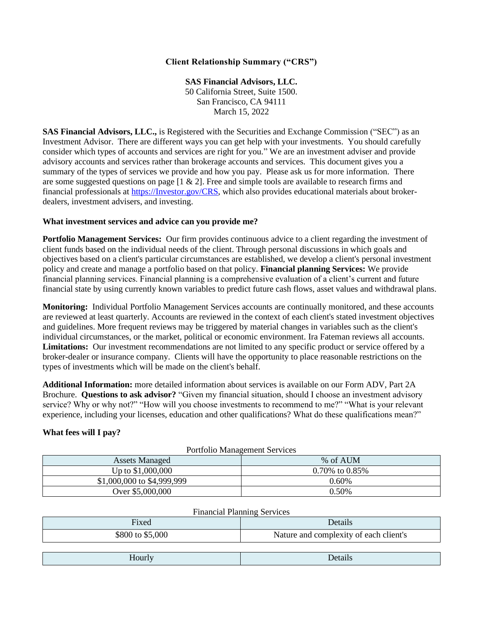# **Client Relationship Summary ("CRS")**

**SAS Financial Advisors, LLC.**  50 California Street, Suite 1500. San Francisco, CA 94111 March 15, 2022

**SAS Financial Advisors, LLC.,** is Registered with the Securities and Exchange Commission ("SEC") as an Investment Advisor. There are different ways you can get help with your investments. You should carefully consider which types of accounts and services are right for you." We are an investment adviser and provide advisory accounts and services rather than brokerage accounts and services. This document gives you a summary of the types of services we provide and how you pay. Please ask us for more information. There are some suggested questions on page  $[1 \& 2]$ . Free and simple tools are available to research firms and financial professionals at [https://Investor.gov/CRS,](https://investor.gov/CRS) which also provides educational materials about brokerdealers, investment advisers, and investing.

## **What investment services and advice can you provide me?**

**Portfolio Management Services:** Our firm provides continuous advice to a client regarding the investment of client funds based on the individual needs of the client. Through personal discussions in which goals and objectives based on a client's particular circumstances are established, we develop a client's personal investment policy and create and manage a portfolio based on that policy. **Financial planning Services:** We provide financial planning services. Financial planning is a comprehensive evaluation of a client's current and future financial state by using currently known variables to predict future cash flows, asset values and withdrawal plans.

**Monitoring:** Individual Portfolio Management Services accounts are continually monitored, and these accounts are reviewed at least quarterly. Accounts are reviewed in the context of each client's stated investment objectives and guidelines. More frequent reviews may be triggered by material changes in variables such as the client's individual circumstances, or the market, political or economic environment. Ira Fateman reviews all accounts. **Limitations:** Our investment recommendations are not limited to any specific product or service offered by a broker-dealer or insurance company. Clients will have the opportunity to place reasonable restrictions on the types of investments which will be made on the client's behalf.

**Additional Information:** more detailed information about services is available on our Form ADV, Part 2A Brochure. **Questions to ask advisor?** "Given my financial situation, should I choose an investment advisory service? Why or why not?" "How will you choose investments to recommend to me?" "What is your relevant experience, including your licenses, education and other qualifications? What do these qualifications mean?"

## **What fees will I pay?**

| Portfolio Management Services |                      |  |
|-------------------------------|----------------------|--|
| <b>Assets Managed</b>         | % of AUM             |  |
| Up to \$1,000,000             | $0.70\%$ to $0.85\%$ |  |
| \$1,000,000 to \$4,999,999    | $0.60\%$             |  |
| Over \$5,000,000              | $0.50\%$             |  |

## Portfolio Management Services

### Financial Planning Services

| Fixed            | Details                                |
|------------------|----------------------------------------|
| \$800 to \$5,000 | Nature and complexity of each client's |
|                  |                                        |
| Hourly           | Details                                |